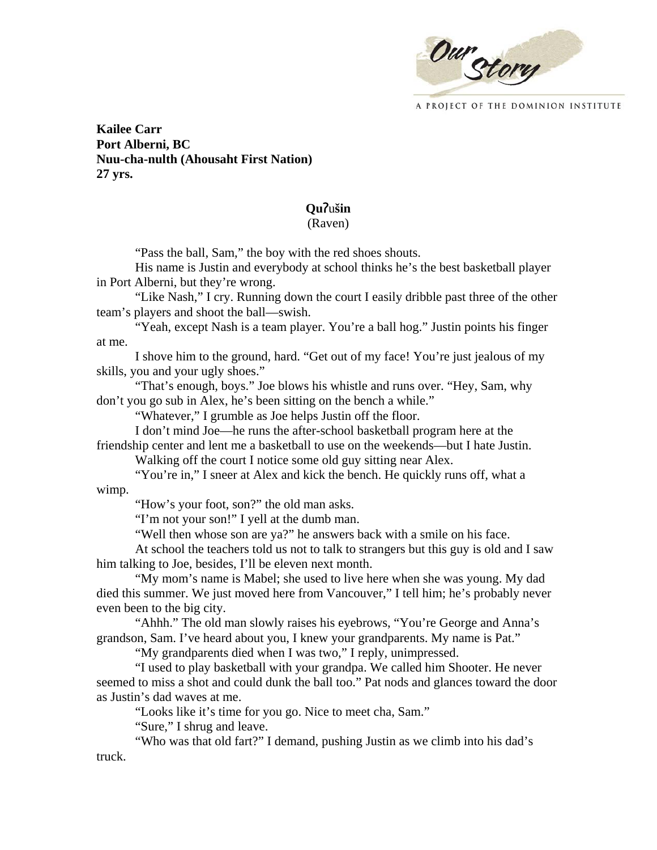

A PROJECT OF THE DOMINION INSTITUTE

**Kailee Carr Port Alberni, BC Nuu-cha-nulth (Ahousaht First Nation) 27 yrs.** 

## **Qu**ʔu**šin**  (Raven)

"Pass the ball, Sam," the boy with the red shoes shouts.

His name is Justin and everybody at school thinks he's the best basketball player in Port Alberni, but they're wrong.

 "Like Nash," I cry. Running down the court I easily dribble past three of the other team's players and shoot the ball—swish.

 "Yeah, except Nash is a team player. You're a ball hog." Justin points his finger at me.

 I shove him to the ground, hard. "Get out of my face! You're just jealous of my skills, you and your ugly shoes."

"That's enough, boys." Joe blows his whistle and runs over. "Hey, Sam, why don't you go sub in Alex, he's been sitting on the bench a while."

"Whatever," I grumble as Joe helps Justin off the floor.

I don't mind Joe—he runs the after-school basketball program here at the friendship center and lent me a basketball to use on the weekends—but I hate Justin.

Walking off the court I notice some old guy sitting near Alex.

"You're in," I sneer at Alex and kick the bench. He quickly runs off, what a wimp.

"How's your foot, son?" the old man asks.

"I'm not your son!" I yell at the dumb man.

"Well then whose son are ya?" he answers back with a smile on his face.

 At school the teachers told us not to talk to strangers but this guy is old and I saw him talking to Joe, besides, I'll be eleven next month.

 "My mom's name is Mabel; she used to live here when she was young. My dad died this summer. We just moved here from Vancouver," I tell him; he's probably never even been to the big city.

 "Ahhh." The old man slowly raises his eyebrows, "You're George and Anna's grandson, Sam. I've heard about you, I knew your grandparents. My name is Pat."

"My grandparents died when I was two," I reply, unimpressed.

 "I used to play basketball with your grandpa. We called him Shooter. He never seemed to miss a shot and could dunk the ball too." Pat nods and glances toward the door as Justin's dad waves at me.

"Looks like it's time for you go. Nice to meet cha, Sam."

"Sure," I shrug and leave.

"Who was that old fart?" I demand, pushing Justin as we climb into his dad's truck.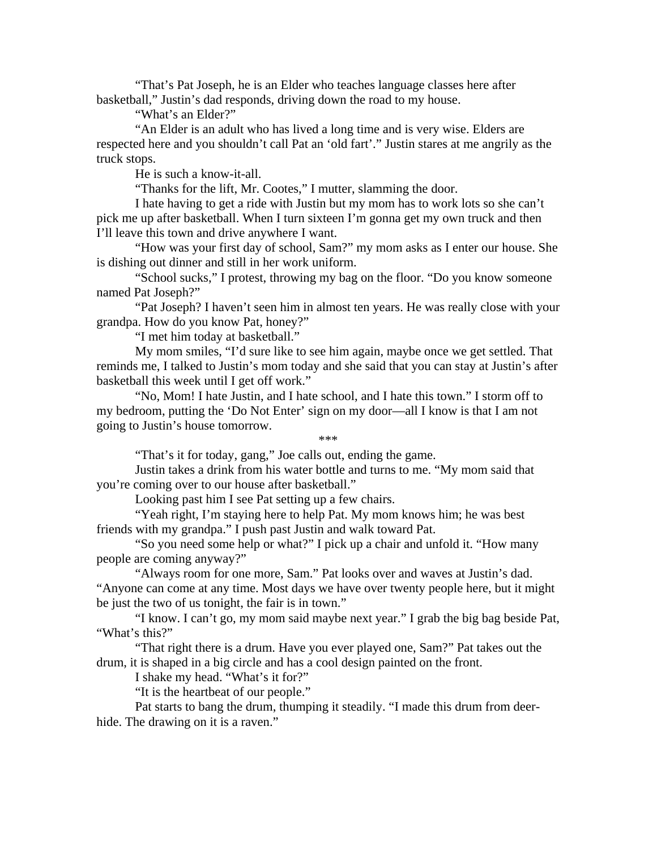"That's Pat Joseph, he is an Elder who teaches language classes here after basketball," Justin's dad responds, driving down the road to my house.

"What's an Elder?"

"An Elder is an adult who has lived a long time and is very wise. Elders are respected here and you shouldn't call Pat an 'old fart'." Justin stares at me angrily as the truck stops.

He is such a know-it-all.

"Thanks for the lift, Mr. Cootes," I mutter, slamming the door.

I hate having to get a ride with Justin but my mom has to work lots so she can't pick me up after basketball. When I turn sixteen I'm gonna get my own truck and then I'll leave this town and drive anywhere I want.

"How was your first day of school, Sam?" my mom asks as I enter our house. She is dishing out dinner and still in her work uniform.

"School sucks," I protest, throwing my bag on the floor. "Do you know someone named Pat Joseph?"

"Pat Joseph? I haven't seen him in almost ten years. He was really close with your grandpa. How do you know Pat, honey?"

"I met him today at basketball."

My mom smiles, "I'd sure like to see him again, maybe once we get settled. That reminds me, I talked to Justin's mom today and she said that you can stay at Justin's after basketball this week until I get off work."

"No, Mom! I hate Justin, and I hate school, and I hate this town." I storm off to my bedroom, putting the 'Do Not Enter' sign on my door—all I know is that I am not going to Justin's house tomorrow.

\*\*\*

"That's it for today, gang," Joe calls out, ending the game.

Justin takes a drink from his water bottle and turns to me. "My mom said that you're coming over to our house after basketball."

Looking past him I see Pat setting up a few chairs.

"Yeah right, I'm staying here to help Pat. My mom knows him; he was best friends with my grandpa." I push past Justin and walk toward Pat.

"So you need some help or what?" I pick up a chair and unfold it. "How many people are coming anyway?"

 "Always room for one more, Sam." Pat looks over and waves at Justin's dad. "Anyone can come at any time. Most days we have over twenty people here, but it might be just the two of us tonight, the fair is in town."

 "I know. I can't go, my mom said maybe next year." I grab the big bag beside Pat, "What's this?"

 "That right there is a drum. Have you ever played one, Sam?" Pat takes out the drum, it is shaped in a big circle and has a cool design painted on the front.

I shake my head. "What's it for?"

"It is the heartbeat of our people."

Pat starts to bang the drum, thumping it steadily. "I made this drum from deerhide. The drawing on it is a raven."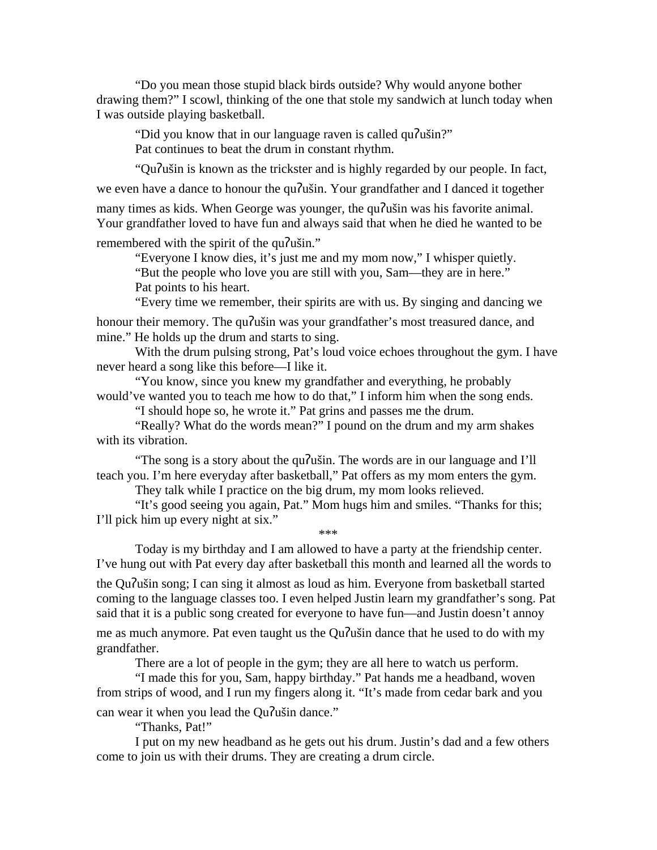"Do you mean those stupid black birds outside? Why would anyone bother drawing them?" I scowl, thinking of the one that stole my sandwich at lunch today when I was outside playing basketball.

 "Did you know that in our language raven is called quʔušin?" Pat continues to beat the drum in constant rhythm.

"Quʔušin is known as the trickster and is highly regarded by our people. In fact, we even have a dance to honour the quʔušin. Your grandfather and I danced it together many times as kids. When George was younger, the quʔušin was his favorite animal. Your grandfather loved to have fun and always said that when he died he wanted to be remembered with the spirit of the quʔušin."

 "Everyone I know dies, it's just me and my mom now," I whisper quietly. "But the people who love you are still with you, Sam—they are in here." Pat points to his heart.

"Every time we remember, their spirits are with us. By singing and dancing we honour their memory. The qu?ušin was your grandfather's most treasured dance, and mine." He holds up the drum and starts to sing.

With the drum pulsing strong, Pat's loud voice echoes throughout the gym. I have never heard a song like this before—I like it.

"You know, since you knew my grandfather and everything, he probably would've wanted you to teach me how to do that," I inform him when the song ends.

"I should hope so, he wrote it." Pat grins and passes me the drum.

"Really? What do the words mean?" I pound on the drum and my arm shakes with its vibration.

"The song is a story about the quʔušin. The words are in our language and I'll teach you. I'm here everyday after basketball," Pat offers as my mom enters the gym.

They talk while I practice on the big drum, my mom looks relieved.

"It's good seeing you again, Pat." Mom hugs him and smiles. "Thanks for this; I'll pick him up every night at six."

\*\*\*

Today is my birthday and I am allowed to have a party at the friendship center. I've hung out with Pat every day after basketball this month and learned all the words to

the Quʔušin song; I can sing it almost as loud as him. Everyone from basketball started coming to the language classes too. I even helped Justin learn my grandfather's song. Pat said that it is a public song created for everyone to have fun—and Justin doesn't annoy

me as much anymore. Pat even taught us the Quʔušin dance that he used to do with my grandfather.

There are a lot of people in the gym; they are all here to watch us perform.

"I made this for you, Sam, happy birthday." Pat hands me a headband, woven from strips of wood, and I run my fingers along it. "It's made from cedar bark and you can wear it when you lead the Quʔušin dance."

"Thanks, Pat!"

I put on my new headband as he gets out his drum. Justin's dad and a few others come to join us with their drums. They are creating a drum circle.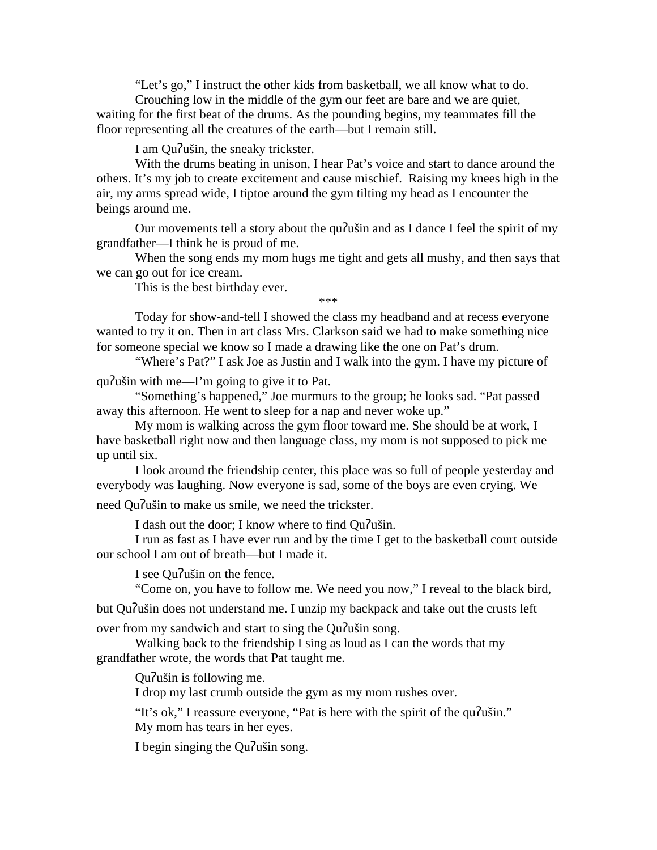"Let's go," I instruct the other kids from basketball, we all know what to do.

Crouching low in the middle of the gym our feet are bare and we are quiet, waiting for the first beat of the drums. As the pounding begins, my teammates fill the floor representing all the creatures of the earth—but I remain still.

I am Quʔušin, the sneaky trickster.

With the drums beating in unison, I hear Pat's voice and start to dance around the others. It's my job to create excitement and cause mischief. Raising my knees high in the air, my arms spread wide, I tiptoe around the gym tilting my head as I encounter the beings around me.

Our movements tell a story about the quʔušin and as I dance I feel the spirit of my grandfather—I think he is proud of me.

When the song ends my mom hugs me tight and gets all mushy, and then says that we can go out for ice cream.

This is the best birthday ever.

\*\*\*

Today for show-and-tell I showed the class my headband and at recess everyone wanted to try it on. Then in art class Mrs. Clarkson said we had to make something nice for someone special we know so I made a drawing like the one on Pat's drum.

"Where's Pat?" I ask Joe as Justin and I walk into the gym. I have my picture of

quʔušin with me—I'm going to give it to Pat.

"Something's happened," Joe murmurs to the group; he looks sad. "Pat passed away this afternoon. He went to sleep for a nap and never woke up."

My mom is walking across the gym floor toward me. She should be at work, I have basketball right now and then language class, my mom is not supposed to pick me up until six.

I look around the friendship center, this place was so full of people yesterday and everybody was laughing. Now everyone is sad, some of the boys are even crying. We need Quʔušin to make us smile, we need the trickster.

I dash out the door; I know where to find Quʔušin.

I run as fast as I have ever run and by the time I get to the basketball court outside our school I am out of breath—but I made it.

I see Quʔušin on the fence.

"Come on, you have to follow me. We need you now," I reveal to the black bird,

but Quʔušin does not understand me. I unzip my backpack and take out the crusts left

over from my sandwich and start to sing the Quʔušin song.

Walking back to the friendship I sing as loud as I can the words that my grandfather wrote, the words that Pat taught me.

Quʔušin is following me.

I drop my last crumb outside the gym as my mom rushes over.

"It's ok," I reassure everyone, "Pat is here with the spirit of the quʔušin."

My mom has tears in her eyes.

I begin singing the Quʔušin song.